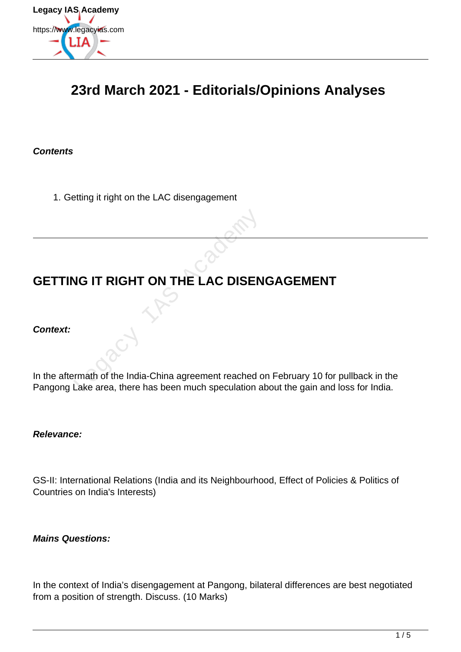

# **23rd March 2021 - Editorials/Opinions Analyses**

### **Contents**

1. Getting it right on the LAC disengagement

# **GETTING IT RIGHT ON THE LAC DISENGAGEMENT**

### **Context:**

In the aftermath of the India-China agreement reached on February 10 for pullback in the Pangong Lake area, there has been much speculation about the gain and loss for India. VG IT RIGHT ON THE LAC DISEN<br>
Fraction of the India-China agreement reached contains a stream much speculation a<br>
Lake area, there has been much speculation a

#### **Relevance:**

GS-II: International Relations (India and its Neighbourhood, Effect of Policies & Politics of Countries on India's Interests)

**Mains Questions:**

In the context of India's disengagement at Pangong, bilateral differences are best negotiated from a position of strength. Discuss. (10 Marks)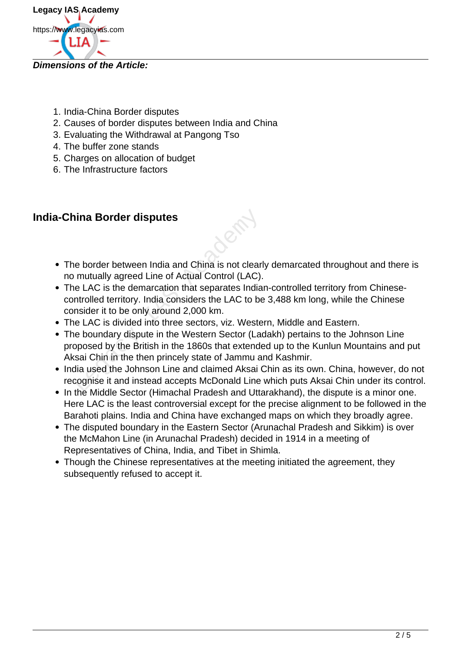

### **Dimensions of the Article:**

- 1. India-China Border disputes
- 2. Causes of border disputes between India and China
- 3. Evaluating the Withdrawal at Pangong Tso
- 4. The buffer zone stands
- 5. Charges on allocation of budget
- 6. The Infrastructure factors

## **India-China Border disputes**

- The border between India and China is not clearly demarcated throughout and there is no mutually agreed Line of Actual Control (LAC).
- The LAC is the demarcation that separates Indian-controlled territory from Chinesecontrolled territory. India considers the LAC to be 3,488 km long, while the Chinese consider it to be only around 2,000 km. **ina Border disputes**<br>
in a **Border between India and China is not clear**<br>
in mutually agreed Line of Actual Control (LAC).<br>
Le LAC is the demarcation that separates India<br>
introlled territory. India considers the LAC to b
- The LAC is divided into three sectors, viz. Western, Middle and Eastern.
- The boundary dispute in the Western Sector (Ladakh) pertains to the Johnson Line proposed by the British in the 1860s that extended up to the Kunlun Mountains and put Aksai Chin in the then princely state of Jammu and Kashmir.
- India used the Johnson Line and claimed Aksai Chin as its own. China, however, do not recognise it and instead accepts McDonald Line which puts Aksai Chin under its control.
- In the Middle Sector (Himachal Pradesh and Uttarakhand), the dispute is a minor one. Here LAC is the least controversial except for the precise alignment to be followed in the Barahoti plains. India and China have exchanged maps on which they broadly agree.
- The disputed boundary in the Eastern Sector (Arunachal Pradesh and Sikkim) is over the McMahon Line (in Arunachal Pradesh) decided in 1914 in a meeting of Representatives of China, India, and Tibet in Shimla.
- Though the Chinese representatives at the meeting initiated the agreement, they subsequently refused to accept it.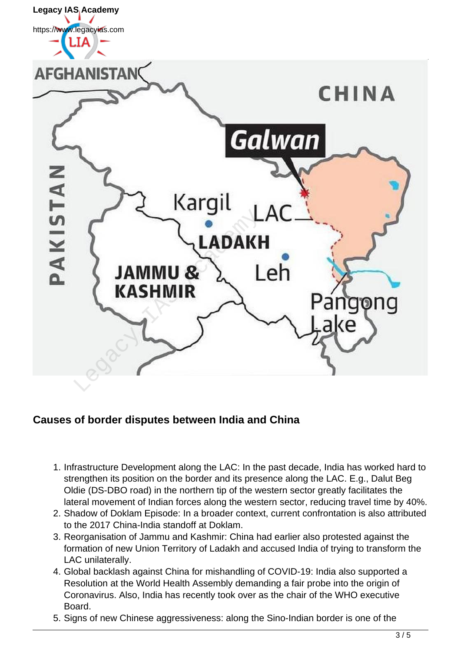

## **Causes of border disputes between India and China**

- 1. Infrastructure Development along the LAC: In the past decade, India has worked hard to strengthen its position on the border and its presence along the LAC. E.g., Dalut Beg Oldie (DS-DBO road) in the northern tip of the western sector greatly facilitates the lateral movement of Indian forces along the western sector, reducing travel time by 40%.
- 2. Shadow of Doklam Episode: In a broader context, current confrontation is also attributed to the 2017 China-India standoff at Doklam.
- 3. Reorganisation of Jammu and Kashmir: China had earlier also protested against the formation of new Union Territory of Ladakh and accused India of trying to transform the LAC unilaterally.
- 4. Global backlash against China for mishandling of COVID-19: India also supported a Resolution at the World Health Assembly demanding a fair probe into the origin of Coronavirus. Also, India has recently took over as the chair of the WHO executive Board.
- 5. Signs of new Chinese aggressiveness: along the Sino-Indian border is one of the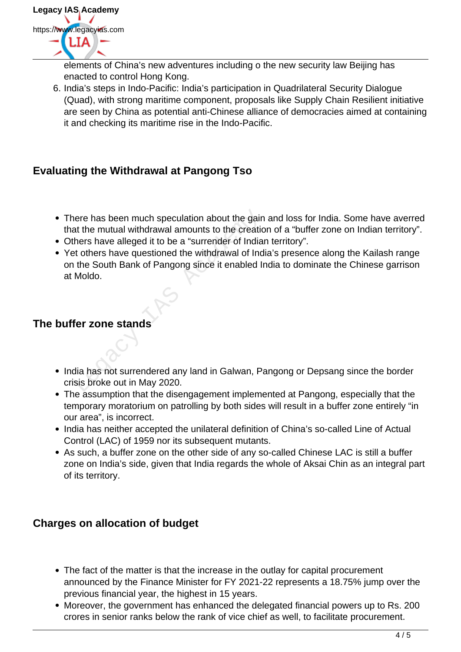

elements of China's new adventures including o the new security law Beijing has enacted to control Hong Kong.

6. India's steps in Indo-Pacific: India's participation in Quadrilateral Security Dialogue (Quad), with strong maritime component, proposals like Supply Chain Resilient initiative are seen by China as potential anti-Chinese alliance of democracies aimed at containing it and checking its maritime rise in the Indo-Pacific.

# **Evaluating the Withdrawal at Pangong Tso**

- There has been much speculation about the gain and loss for India. Some have averred that the mutual withdrawal amounts to the creation of a "buffer zone on Indian territory".
- Others have alleged it to be a "surrender of Indian territory".
- Yet others have questioned the withdrawal of India's presence along the Kailash range on the South Bank of Pangong since it enabled India to dominate the Chinese garrison at Moldo. There has been much speculation about the gaint<br>at the mutual withdrawal amounts to the creationers have alleged it to be a "surrender of India<br>to there have questioned the withdrawal of Inc<br>the South Bank of Pangong since

# **The buffer zone stands**

- India has not surrendered any land in Galwan, Pangong or Depsang since the border crisis broke out in May 2020.
- The assumption that the disengagement implemented at Pangong, especially that the temporary moratorium on patrolling by both sides will result in a buffer zone entirely "in our area", is incorrect.
- India has neither accepted the unilateral definition of China's so-called Line of Actual Control (LAC) of 1959 nor its subsequent mutants.
- As such, a buffer zone on the other side of any so-called Chinese LAC is still a buffer zone on India's side, given that India regards the whole of Aksai Chin as an integral part of its territory.

## **Charges on allocation of budget**

- The fact of the matter is that the increase in the outlay for capital procurement announced by the Finance Minister for FY 2021-22 represents a 18.75% jump over the previous financial year, the highest in 15 years.
- Moreover, the government has enhanced the delegated financial powers up to Rs. 200 crores in senior ranks below the rank of vice chief as well, to facilitate procurement.